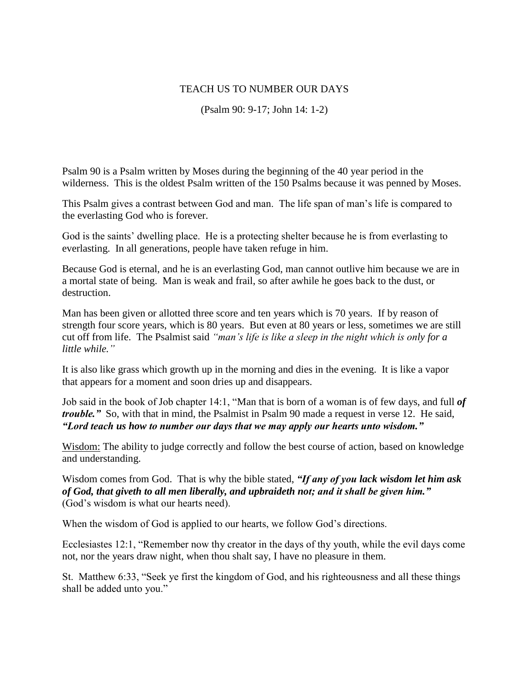## TEACH US TO NUMBER OUR DAYS

(Psalm 90: 9-17; John 14: 1-2)

Psalm 90 is a Psalm written by Moses during the beginning of the 40 year period in the wilderness. This is the oldest Psalm written of the 150 Psalms because it was penned by Moses.

This Psalm gives a contrast between God and man. The life span of man's life is compared to the everlasting God who is forever.

God is the saints' dwelling place. He is a protecting shelter because he is from everlasting to everlasting. In all generations, people have taken refuge in him.

Because God is eternal, and he is an everlasting God, man cannot outlive him because we are in a mortal state of being. Man is weak and frail, so after awhile he goes back to the dust, or destruction.

Man has been given or allotted three score and ten years which is 70 years. If by reason of strength four score years, which is 80 years. But even at 80 years or less, sometimes we are still cut off from life. The Psalmist said *"man's life is like a sleep in the night which is only for a little while."*

It is also like grass which growth up in the morning and dies in the evening. It is like a vapor that appears for a moment and soon dries up and disappears.

Job said in the book of Job chapter 14:1, "Man that is born of a woman is of few days, and full *of trouble."* So, with that in mind, the Psalmist in Psalm 90 made a request in verse 12. He said, *"Lord teach us how to number our days that we may apply our hearts unto wisdom."*

Wisdom: The ability to judge correctly and follow the best course of action, based on knowledge and understanding.

Wisdom comes from God. That is why the bible stated, *"If any of you lack wisdom let him ask of God, that giveth to all men liberally, and upbraideth not; and it shall be given him."* (God's wisdom is what our hearts need).

When the wisdom of God is applied to our hearts, we follow God's directions.

Ecclesiastes 12:1, "Remember now thy creator in the days of thy youth, while the evil days come not, nor the years draw night, when thou shalt say, I have no pleasure in them.

St. Matthew 6:33, "Seek ye first the kingdom of God, and his righteousness and all these things shall be added unto you."